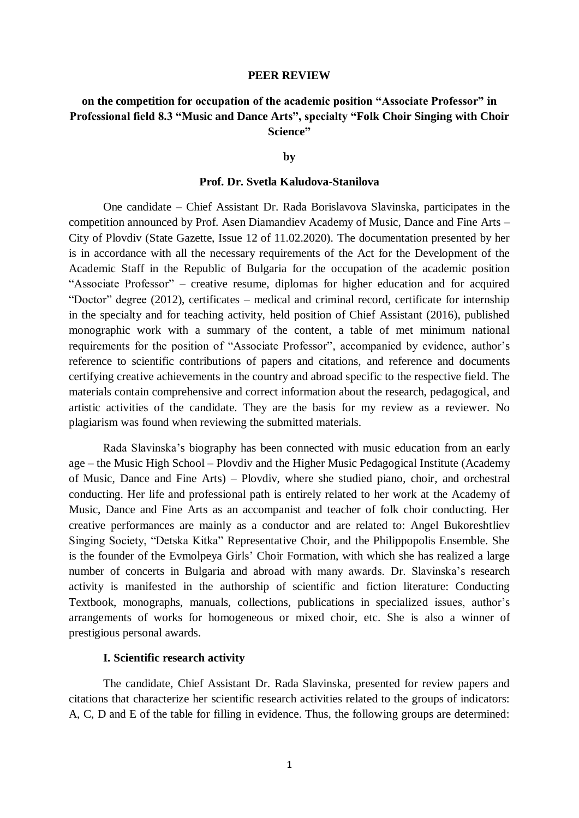#### **PEER REVIEW**

# **on the competition for occupation of the academic position "Associate Professor" in Professional field 8.3 "Music and Dance Arts", specialty "Folk Choir Singing with Choir Science"**

## **by**

# **Prof. Dr. Svetla Kaludova-Stanilova**

One candidate – Chief Assistant Dr. Rada Borislavova Slavinska, participates in the competition announced by Prof. Asen Diamandiev Academy of Music, Dance and Fine Arts – City of Plovdiv (State Gazette, Issue 12 of 11.02.2020). The documentation presented by her is in accordance with all the necessary requirements of the Act for the Development of the Academic Staff in the Republic of Bulgaria for the occupation of the academic position "Associate Professor" – creative resume, diplomas for higher education and for acquired "Doctor" degree (2012), certificates – medical and criminal record, certificate for internship in the specialty and for teaching activity, held position of Chief Assistant (2016), published monographic work with a summary of the content, a table of met minimum national requirements for the position of "Associate Professor", accompanied by evidence, author's reference to scientific contributions of papers and citations, and reference and documents certifying creative achievements in the country and abroad specific to the respective field. The materials contain comprehensive and correct information about the research, pedagogical, and artistic activities of the candidate. They are the basis for my review as a reviewer. No plagiarism was found when reviewing the submitted materials.

Rada Slavinska's biography has been connected with music education from an early age – the Music High School – Plovdiv and the Higher Music Pedagogical Institute (Academy of Music, Dance and Fine Arts) – Plovdiv, where she studied piano, choir, and orchestral conducting. Her life and professional path is entirely related to her work at the Academy of Music, Dance and Fine Arts as an accompanist and teacher of folk choir conducting. Her creative performances are mainly as a conductor and are related to: Angel Bukoreshtliev Singing Society, "Detska Kitka" Representative Choir, and the Philippopolis Ensemble. She is the founder of the Evmolpeya Girls' Choir Formation, with which she has realized a large number of concerts in Bulgaria and abroad with many awards. Dr. Slavinska's research activity is manifested in the authorship of scientific and fiction literature: Conducting Textbook, monographs, manuals, collections, publications in specialized issues, author's arrangements of works for homogeneous or mixed choir, etc. She is also a winner of prestigious personal awards.

# **I. Scientific research activity**

The candidate, Chief Assistant Dr. Rada Slavinska, presented for review papers and citations that characterize her scientific research activities related to the groups of indicators: A, C, D and E of the table for filling in evidence. Thus, the following groups are determined: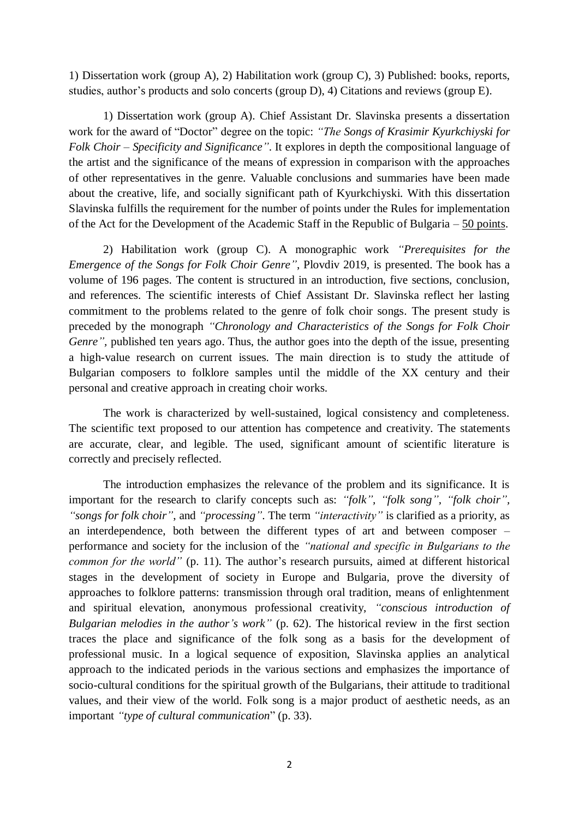1) Dissertation work (group A), 2) Habilitation work (group C), 3) Published: books, reports, studies, author's products and solo concerts (group D), 4) Citations and reviews (group E).

1) Dissertation work (group A). Chief Assistant Dr. Slavinska presents a dissertation work for the award of "Doctor" degree on the topic: *"The Songs of Krasimir Kyurkchiyski for Folk Choir – Specificity and Significance"*. It explores in depth the compositional language of the artist and the significance of the means of expression in comparison with the approaches of other representatives in the genre. Valuable conclusions and summaries have been made about the creative, life, and socially significant path of Kyurkchiyski. With this dissertation Slavinska fulfills the requirement for the number of points under the Rules for implementation of the Act for the Development of the Academic Staff in the Republic of Bulgaria – 50 points.

2) Habilitation work (group C). A monographic work *"Prerequisites for the Emergence of the Songs for Folk Choir Genre"*, Plovdiv 2019, is presented. The book has a volume of 196 pages. The content is structured in an introduction, five sections, conclusion, and references. The scientific interests of Chief Assistant Dr. Slavinska reflect her lasting commitment to the problems related to the genre of folk choir songs. The present study is preceded by the monograph *"Chronology and Characteristics of the Songs for Folk Choir Genre",* published ten years ago. Thus, the author goes into the depth of the issue, presenting a high-value research on current issues. The main direction is to study the attitude of Bulgarian composers to folklore samples until the middle of the XX century and their personal and creative approach in creating choir works.

The work is characterized by well-sustained, logical consistency and completeness. The scientific text proposed to our attention has competence and creativity. The statements are accurate, clear, and legible. The used, significant amount of scientific literature is correctly and precisely reflected.

The introduction emphasizes the relevance of the problem and its significance. It is important for the research to clarify concepts such as: *"folk", "folk song", "folk choir", "songs for folk choir"*, and *"processing"*. The term *"interactivity"* is clarified as a priority, as an interdependence, both between the different types of art and between composer – performance and society for the inclusion of the *"national and specific in Bulgarians to the common for the world"* (p. 11). The author's research pursuits, aimed at different historical stages in the development of society in Europe and Bulgaria, prove the diversity of approaches to folklore patterns: transmission through oral tradition, means of enlightenment and spiritual elevation, anonymous professional creativity, *"conscious introduction of Bulgarian melodies in the author's work"* (p. 62). The historical review in the first section traces the place and significance of the folk song as a basis for the development of professional music. In a logical sequence of exposition, Slavinska applies an analytical approach to the indicated periods in the various sections and emphasizes the importance of socio-cultural conditions for the spiritual growth of the Bulgarians, their attitude to traditional values, and their view of the world. Folk song is a major product of aesthetic needs, as an important *"type of cultural communication*" (p. 33).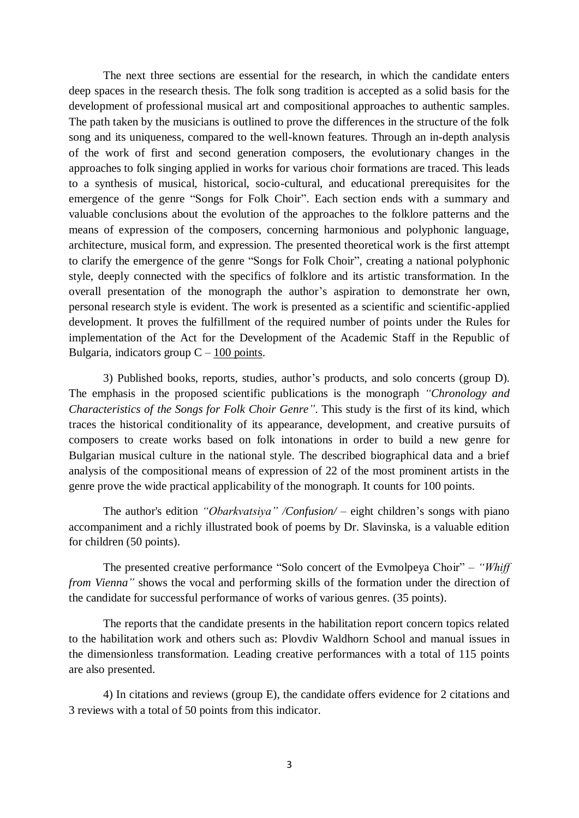The next three sections are essential for the research, in which the candidate enters deep spaces in the research thesis. The folk song tradition is accepted as a solid basis for the development of professional musical art and compositional approaches to authentic samples. The path taken by the musicians is outlined to prove the differences in the structure of the folk song and its uniqueness, compared to the well-known features. Through an in-depth analysis of the work of first and second generation composers, the evolutionary changes in the approaches to folk singing applied in works for various choir formations are traced. This leads to a synthesis of musical, historical, socio-cultural, and educational prerequisites for the emergence of the genre "Songs for Folk Choir". Each section ends with a summary and valuable conclusions about the evolution of the approaches to the folklore patterns and the means of expression of the composers, concerning harmonious and polyphonic language, architecture, musical form, and expression. The presented theoretical work is the first attempt to clarify the emergence of the genre "Songs for Folk Choir", creating a national polyphonic style, deeply connected with the specifics of folklore and its artistic transformation. In the overall presentation of the monograph the author's aspiration to demonstrate her own, personal research style is evident. The work is presented as a scientific and scientific-applied development. It proves the fulfillment of the required number of points under the Rules for implementation of the Act for the Development of the Academic Staff in the Republic of Bulgaria, indicators group  $C - 100$  points.

3) Published books, reports, studies, author's products, and solo concerts (group D). The emphasis in the proposed scientific publications is the monograph *"Chronology and Characteristics of the Songs for Folk Choir Genre"*. This study is the first of its kind, which traces the historical conditionality of its appearance, development, and creative pursuits of composers to create works based on folk intonations in order to build a new genre for Bulgarian musical culture in the national style. The described biographical data and a brief analysis of the compositional means of expression of 22 of the most prominent artists in the genre prove the wide practical applicability of the monograph. It counts for 100 points.

The author's edition *"Obarkvatsiya" /Confusion/* – eight children's songs with piano accompaniment and a richly illustrated book of poems by Dr. Slavinska, is a valuable edition for children (50 points).

The presented creative performance "Solo concert of the Evmolpeya Choir" – *"Whiff from Vienna"* shows the vocal and performing skills of the formation under the direction of the candidate for successful performance of works of various genres. (35 points).

The reports that the candidate presents in the habilitation report concern topics related to the habilitation work and others such as: Plovdiv Waldhorn School and manual issues in the dimensionless transformation. Leading creative performances with a total of 115 points are also presented.

4) In citations and reviews (group E), the candidate offers evidence for 2 citations and 3 reviews with a total of 50 points from this indicator.